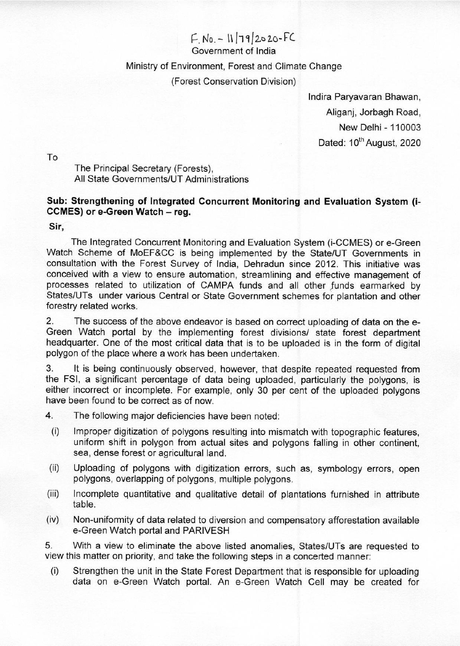## $F.N0. - 11/79/2020-FC$

Government of India

## Ministry of Environment, Forest and Climate Change

## (Forest Conservation Division)

Indira Paryavaran Bhawan, Aliganj, Jorbagh Road, New Delhi - 110003 Dated: 10<sup>th</sup> August, 2020

To

The Principal Secretary (Forests), All State Governments/UT Administrations

## Sub: Strengthening of Integrated Concurrent Monitoring and Evaluation System (i-CCMES) or e-Green Watch — reg.

Sir,

The Integrated Concurrent Monitoring and Evaluation System (i-CCMES) or e-Green Watch Scheme of MoEF&CC is being implemented by the State/UT Governments in consultation with the Forest Survey of India, Dehradun since 2012. This initiative was conceived with a view to ensure automation, streamlining and effective management of processes related to utilization of CAMPA funds and all other funds earmarked by States/UTs under various Central or State Government schemes for plantation and other forestry related works.

Z, The success of the above endeavor is based on correct uploading of data on the e-Green Watch portal by the implementing forest divisions/ state forest department headquarter. One of the most critical data that is to be uploaded is in the form of digital polygon of the place where a work has been undertaken.

3: It is being continuously observed, however, that despite repeated requested from the FSI, a significant percentage of data being uploaded, particularly the polygons, is either incorrect or incomplete. For example, only 30 per cent of the uploaded polygons have been found to be correct as of now.

4. The following major deficiencies have been noted:

- (i) Improper digitization of polygons resulting into mismatch with topographic features, uniform shift in polygon from actual sites and polygons falling in other continent, sea, dense forest or agricultural land.
- (ii) Uploading of polygons with digitization errors, such as, symbology errors, open polygons, overlapping of polygons, multiple polygons.
- (iii) Incomplete quantitative and qualitative detail of plantations furnished in attribute table.
- (iv) | Non-uniformity of data related to diversion and compensatory afforestation available e-Green Watch portal and PARIVESH

5: With a view to eliminate the above listed anomalies, States/UTs are requested to view this matter on priority, and take the following steps in a concerted manner:

(i) | Strengthen the unit in the State Forest Department that is responsible for uploading data on e-Green Watch portal. An e-Green Watch Cell may be created for